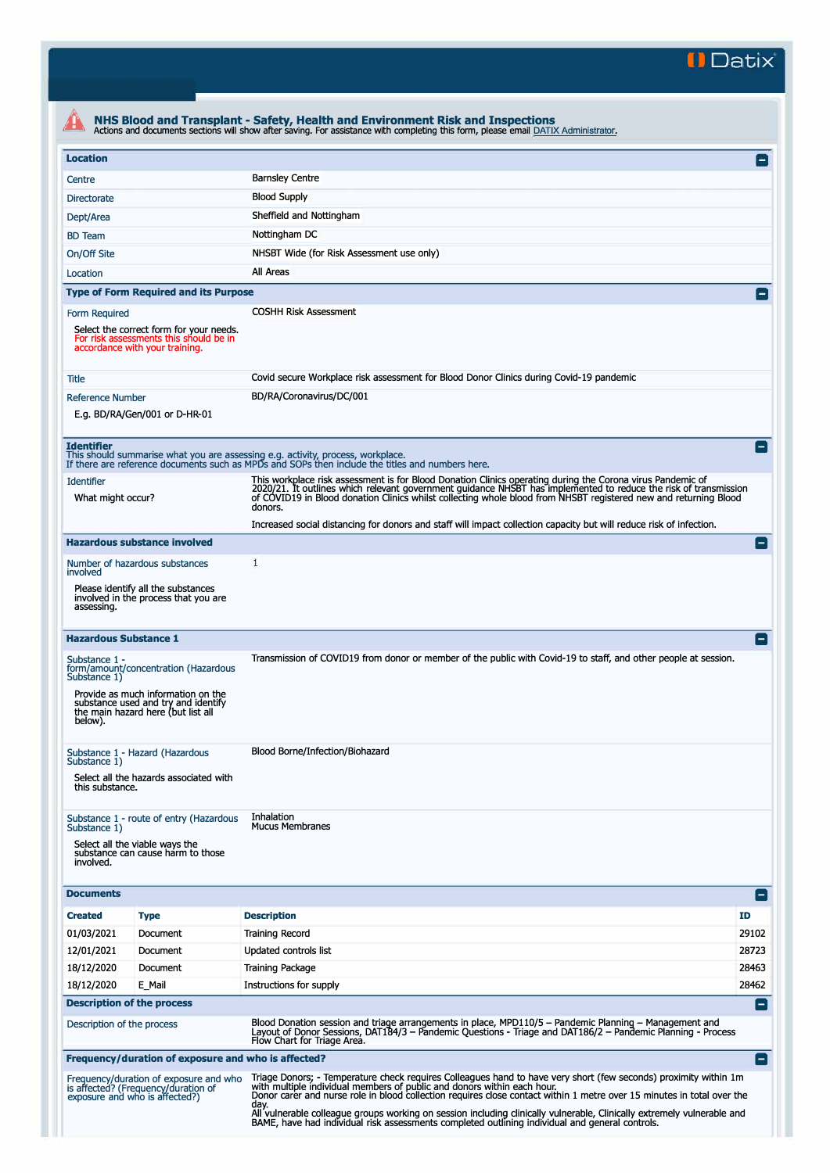**II Datix"** 

| <b>Location</b>                                                    |                                                                                   |                                                                                                                                                                                                                                                                                                                                                                                                                                                          | $\mathsf{I}$            |
|--------------------------------------------------------------------|-----------------------------------------------------------------------------------|----------------------------------------------------------------------------------------------------------------------------------------------------------------------------------------------------------------------------------------------------------------------------------------------------------------------------------------------------------------------------------------------------------------------------------------------------------|-------------------------|
|                                                                    |                                                                                   |                                                                                                                                                                                                                                                                                                                                                                                                                                                          |                         |
| Centre                                                             |                                                                                   | <b>Barnsley Centre</b>                                                                                                                                                                                                                                                                                                                                                                                                                                   |                         |
| <b>Directorate</b>                                                 |                                                                                   | <b>Blood Supply</b>                                                                                                                                                                                                                                                                                                                                                                                                                                      |                         |
| Dept/Area                                                          |                                                                                   | Sheffield and Nottingham                                                                                                                                                                                                                                                                                                                                                                                                                                 |                         |
| <b>BD</b> Team                                                     |                                                                                   | Nottingham DC                                                                                                                                                                                                                                                                                                                                                                                                                                            |                         |
| On/Off Site                                                        |                                                                                   | NHSBT Wide (for Risk Assessment use only)                                                                                                                                                                                                                                                                                                                                                                                                                |                         |
| Location                                                           |                                                                                   | All Areas                                                                                                                                                                                                                                                                                                                                                                                                                                                |                         |
|                                                                    | <b>Type of Form Required and its Purpose</b>                                      |                                                                                                                                                                                                                                                                                                                                                                                                                                                          | $\mathsf{I}-\mathsf{I}$ |
| Form Required<br>accordance with your training.                    | Select the correct form for your needs.<br>For risk assessments this should be in | <b>COSHH Risk Assessment</b>                                                                                                                                                                                                                                                                                                                                                                                                                             |                         |
| Title                                                              |                                                                                   | Covid secure Workplace risk assessment for Blood Donor Clinics during Covid-19 pandemic                                                                                                                                                                                                                                                                                                                                                                  |                         |
| <b>Reference Number</b>                                            | E.g. BD/RA/Gen/001 or D-HR-01                                                     | BD/RA/Coronavirus/DC/001                                                                                                                                                                                                                                                                                                                                                                                                                                 |                         |
| <b>Identifier</b>                                                  |                                                                                   | This should summarise what you are assessing e.g. activity, process, workplace.<br>If there are reference documents such as MPDs and SOPs then include the titles and numbers here.                                                                                                                                                                                                                                                                      |                         |
| <b>Identifier</b><br>What might occur?                             |                                                                                   | This workplace risk assessment is for Blood Donation Clinics operating during the Corona virus Pandemic of<br>2020/21. It outlines which relevant government guidance NHSBT has implemented to reduce the risk of transmission<br>of COVID19 in Blood donation Clinics whilst collecting whole blood from NHSBT registered new and returning Blood<br>donors.                                                                                            |                         |
|                                                                    |                                                                                   | Increased social distancing for donors and staff will impact collection capacity but will reduce risk of infection.                                                                                                                                                                                                                                                                                                                                      |                         |
|                                                                    | <b>Hazardous substance involved</b>                                               |                                                                                                                                                                                                                                                                                                                                                                                                                                                          | H.                      |
| involved                                                           | Number of hazardous substances                                                    | 1                                                                                                                                                                                                                                                                                                                                                                                                                                                        |                         |
| assessing.                                                         | Please identify all the substances<br>involved in the process that you are        |                                                                                                                                                                                                                                                                                                                                                                                                                                                          |                         |
| <b>Hazardous Substance 1</b>                                       |                                                                                   |                                                                                                                                                                                                                                                                                                                                                                                                                                                          |                         |
| Substance 1 -<br>Substance 1)                                      | form/amount/concentration (Hazardous<br>Provide as much information on the        | Transmission of COVID19 from donor or member of the public with Covid-19 to staff, and other people at session.                                                                                                                                                                                                                                                                                                                                          |                         |
| below).                                                            | substance used and try and identify<br>the main hazard here (but list all         |                                                                                                                                                                                                                                                                                                                                                                                                                                                          |                         |
| Substance 1 - Hazard (Hazardous<br>Substance 1)<br>this substance. | Select all the hazards associated with                                            | Blood Borne/Infection/Biohazard                                                                                                                                                                                                                                                                                                                                                                                                                          |                         |
| Substance 1)<br>Select all the viable ways the<br>involved.        | Substance 1 - route of entry (Hazardous<br>substance can cause harm to those      | <b>Inhalation</b><br><b>Mucus Membranes</b>                                                                                                                                                                                                                                                                                                                                                                                                              |                         |
| <b>Documents</b>                                                   |                                                                                   |                                                                                                                                                                                                                                                                                                                                                                                                                                                          | Ξ                       |
| <b>Created</b>                                                     | <b>Type</b>                                                                       | <b>Description</b>                                                                                                                                                                                                                                                                                                                                                                                                                                       | ID                      |
| 01/03/2021                                                         | Document                                                                          | <b>Training Record</b>                                                                                                                                                                                                                                                                                                                                                                                                                                   | 29102                   |
| 12/01/2021                                                         | Document                                                                          | Updated controls list                                                                                                                                                                                                                                                                                                                                                                                                                                    | 28723                   |
| 18/12/2020                                                         | Document                                                                          | <b>Training Package</b>                                                                                                                                                                                                                                                                                                                                                                                                                                  | 28463                   |
| 18/12/2020                                                         | E Mail                                                                            | Instructions for supply                                                                                                                                                                                                                                                                                                                                                                                                                                  | 28462                   |
| <b>Description of the process</b>                                  |                                                                                   |                                                                                                                                                                                                                                                                                                                                                                                                                                                          | н.                      |
| Description of the process                                         |                                                                                   | Blood Donation session and triage arrangements in place, MPD110/5 - Pandemic Planning - Management and<br>Layout of Donor Sessions, DAT184/3 – Pandemic Questions - Triage and DAT186/2 – Pandemic Planning - Process<br>Flow Chart for Triage Area.                                                                                                                                                                                                     |                         |
|                                                                    | Frequency/duration of exposure and who is affected?                               |                                                                                                                                                                                                                                                                                                                                                                                                                                                          | ۸                       |
| exposure and who is affected?)                                     | Frequency/duration of exposure and who<br>is affected? (Frequency/duration of     | Triage Donors; - Temperature check requires Colleagues hand to have very short (few seconds) proximity within 1m<br>with multiple individual members of public and donors within each hour.<br>Donor carer and nurse role in blood collection requires close contact within 1 metre over 15 minutes in total over the<br>day.<br>All vulnerable colleague groups working on session including clinically vulnerable, Clinically extremely vulnerable and |                         |